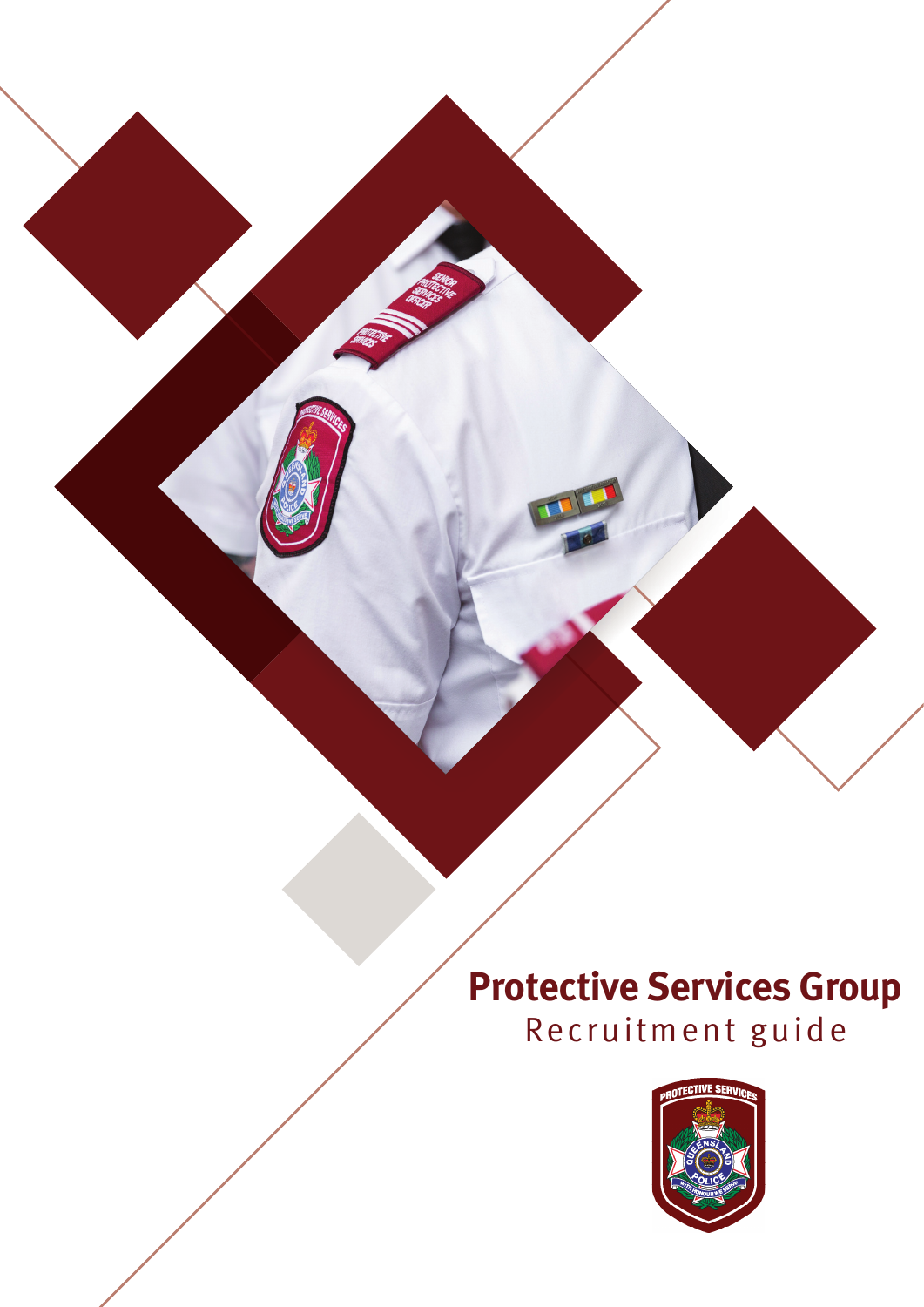## **Protective Services Group** Recruitment guide